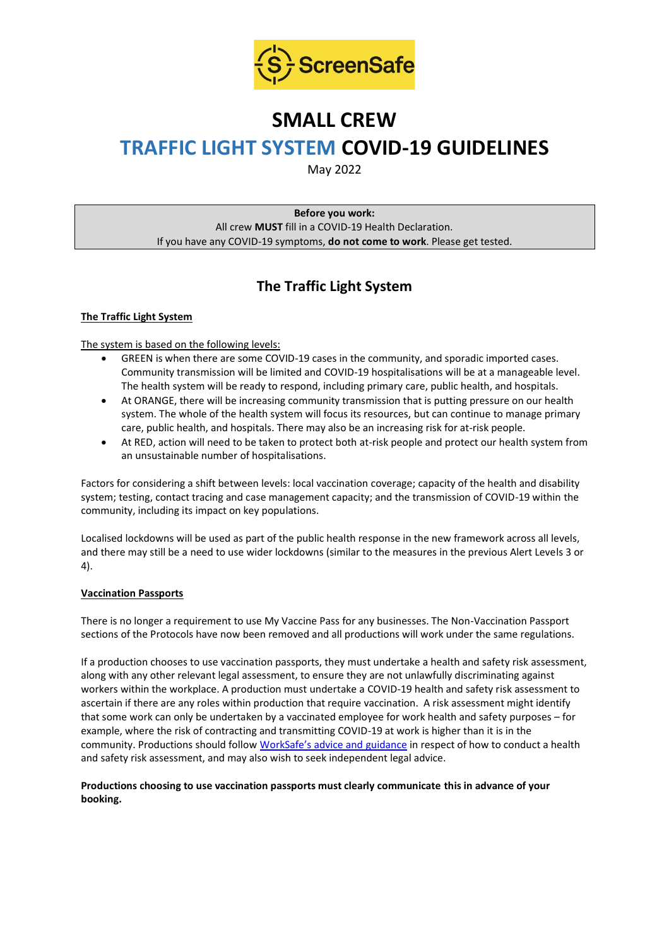

# **SMALL CREW**

# **TRAFFIC LIGHT SYSTEM COVID-19 GUIDELINES**

May 2022

**Before you work:** All crew **MUST** fill in a COVID-19 Health Declaration. If you have any COVID-19 symptoms, **do not come to work**. Please get tested.

# **The Traffic Light System**

# **The Traffic Light System**

The system is based on the following levels:

- GREEN is when there are some COVID-19 cases in the community, and sporadic imported cases. Community transmission will be limited and COVID-19 hospitalisations will be at a manageable level. The health system will be ready to respond, including primary care, public health, and hospitals.
- At ORANGE, there will be increasing community transmission that is putting pressure on our health system. The whole of the health system will focus its resources, but can continue to manage primary care, public health, and hospitals. There may also be an increasing risk for at-risk people.
- At RED, action will need to be taken to protect both at-risk people and protect our health system from an unsustainable number of hospitalisations.

Factors for considering a shift between levels: local vaccination coverage; capacity of the health and disability system; testing, contact tracing and case management capacity; and the transmission of COVID-19 within the community, including its impact on key populations.

Localised lockdowns will be used as part of the public health response in the new framework across all levels, and there may still be a need to use wider lockdowns (similar to the measures in the previous Alert Levels 3 or 4).

#### **Vaccination Passports**

There is no longer a requirement to use My Vaccine Pass for any businesses. The Non-Vaccination Passport sections of the Protocols have now been removed and all productions will work under the same regulations.

If a production chooses to use vaccination passports, they must undertake a health and safety risk assessment, along with any other relevant legal assessment, to ensure they are not unlawfully discriminating against workers within the workplace. A production must undertake a COVID-19 health and safety risk assessment to ascertain if there are any roles within production that require vaccination. A risk assessment might identify that some work can only be undertaken by a vaccinated employee for work health and safety purposes – for example, where the risk of contracting and transmitting COVID-19 at work is higher than it is in the community. Productions should follow [WorkSafe's advice and guidance](https://www.worksafe.govt.nz/managing-health-and-safety/novel-coronavirus-covid/covid-19-controls-at-work/) in respect of how to conduct a health and safety risk assessment, and may also wish to seek independent legal advice.

# **Productions choosing to use vaccination passports must clearly communicate this in advance of your booking.**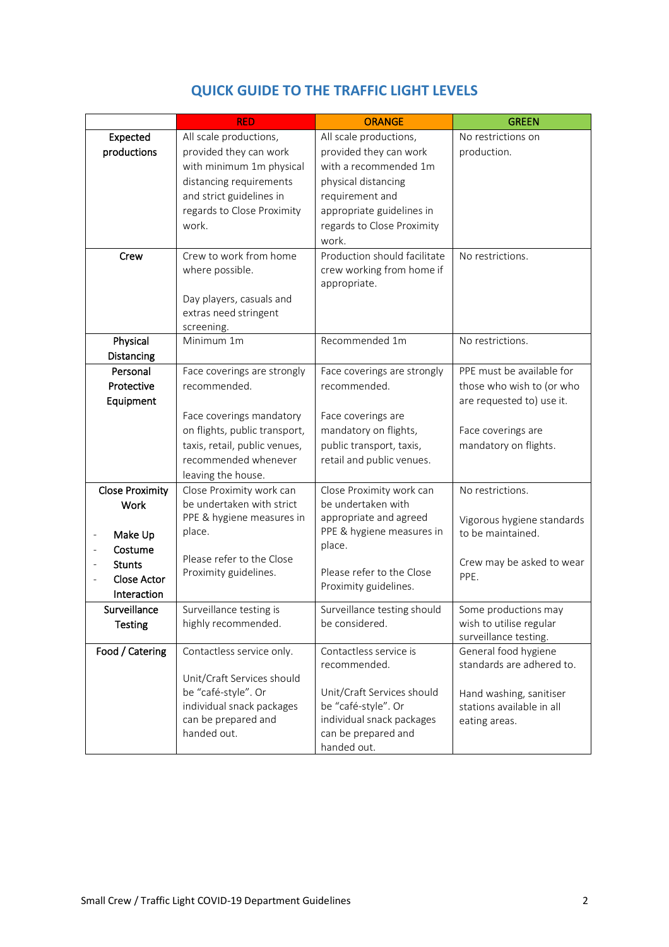|                        | <b>RED</b>                    | <b>ORANGE</b>                | <b>GREEN</b>                                  |
|------------------------|-------------------------------|------------------------------|-----------------------------------------------|
| Expected               | All scale productions,        | All scale productions,       | No restrictions on                            |
| productions            | provided they can work        | provided they can work       | production.                                   |
|                        | with minimum 1m physical      | with a recommended 1m        |                                               |
|                        | distancing requirements       | physical distancing          |                                               |
|                        | and strict guidelines in      | requirement and              |                                               |
|                        | regards to Close Proximity    | appropriate guidelines in    |                                               |
|                        | work.                         | regards to Close Proximity   |                                               |
|                        |                               | work.                        |                                               |
| Crew                   | Crew to work from home        | Production should facilitate | No restrictions.                              |
|                        | where possible.               | crew working from home if    |                                               |
|                        |                               | appropriate.                 |                                               |
|                        | Day players, casuals and      |                              |                                               |
|                        | extras need stringent         |                              |                                               |
| Physical               | screening.<br>Minimum 1m      | Recommended 1m               | No restrictions.                              |
| Distancing             |                               |                              |                                               |
| Personal               | Face coverings are strongly   | Face coverings are strongly  | PPE must be available for                     |
| Protective             | recommended.                  | recommended.                 | those who wish to (or who                     |
| Equipment              |                               |                              | are requested to) use it.                     |
|                        | Face coverings mandatory      | Face coverings are           |                                               |
|                        | on flights, public transport, | mandatory on flights,        | Face coverings are                            |
|                        | taxis, retail, public venues, | public transport, taxis,     | mandatory on flights.                         |
|                        | recommended whenever          | retail and public venues.    |                                               |
|                        | leaving the house.            |                              |                                               |
| <b>Close Proximity</b> | Close Proximity work can      | Close Proximity work can     | No restrictions.                              |
| Work                   | be undertaken with strict     | be undertaken with           |                                               |
|                        | PPE & hygiene measures in     | appropriate and agreed       | Vigorous hygiene standards                    |
| Make Up                | place.                        | PPE & hygiene measures in    | to be maintained.                             |
| Costume                | Please refer to the Close     | place.                       |                                               |
| <b>Stunts</b>          | Proximity guidelines.         | Please refer to the Close    | Crew may be asked to wear                     |
| <b>Close Actor</b>     |                               | Proximity guidelines.        | PPE.                                          |
| Interaction            |                               |                              |                                               |
| Surveillance           | Surveillance testing is       | Surveillance testing should  | Some productions may                          |
| <b>Testing</b>         | highly recommended.           | be considered.               | wish to utilise regular                       |
| Food / Catering        | Contactless service only.     | Contactless service is       | surveillance testing.<br>General food hygiene |
|                        |                               | recommended.                 | standards are adhered to.                     |
|                        | Unit/Craft Services should    |                              |                                               |
|                        | be "café-style". Or           | Unit/Craft Services should   | Hand washing, sanitiser                       |
|                        | individual snack packages     | be "café-style". Or          | stations available in all                     |
|                        | can be prepared and           | individual snack packages    | eating areas.                                 |
|                        | handed out.                   | can be prepared and          |                                               |
|                        |                               | handed out.                  |                                               |

# **QUICK GUIDE TO THE TRAFFIC LIGHT LEVELS**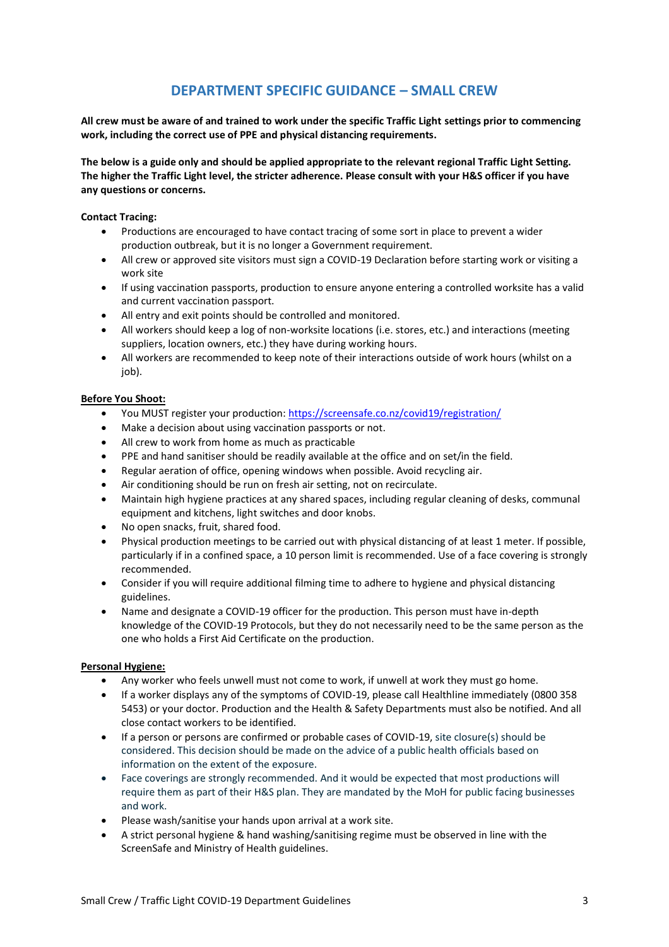# **DEPARTMENT SPECIFIC GUIDANCE – SMALL CREW**

**All crew must be aware of and trained to work under the specific Traffic Light settings prior to commencing work, including the correct use of PPE and physical distancing requirements.**

**The below is a guide only and should be applied appropriate to the relevant regional Traffic Light Setting. The higher the Traffic Light level, the stricter adherence. Please consult with your H&S officer if you have any questions or concerns.**

#### **Contact Tracing:**

- Productions are encouraged to have contact tracing of some sort in place to prevent a wider production outbreak, but it is no longer a Government requirement.
- All crew or approved site visitors must sign a COVID-19 Declaration before starting work or visiting a work site
- If using vaccination passports, production to ensure anyone entering a controlled worksite has a valid and current vaccination passport.
- All entry and exit points should be controlled and monitored.
- All workers should keep a log of non-worksite locations (i.e. stores, etc.) and interactions (meeting suppliers, location owners, etc.) they have during working hours.
- All workers are recommended to keep note of their interactions outside of work hours (whilst on a iob).

#### **Before You Shoot:**

- You MUST register your production[: https://screensafe.co.nz/covid19/registration/](https://screensafe.co.nz/covid19/registration/)
- Make a decision about using vaccination passports or not.
- All crew to work from home as much as practicable
- PPE and hand sanitiser should be readily available at the office and on set/in the field.
- Regular aeration of office, opening windows when possible. Avoid recycling air.
- Air conditioning should be run on fresh air setting, not on recirculate.
- Maintain high hygiene practices at any shared spaces, including regular cleaning of desks, communal equipment and kitchens, light switches and door knobs.
- No open snacks, fruit, shared food.
- Physical production meetings to be carried out with physical distancing of at least 1 meter. If possible, particularly if in a confined space, a 10 person limit is recommended. Use of a face covering is strongly recommended.
- Consider if you will require additional filming time to adhere to hygiene and physical distancing guidelines.
- Name and designate a COVID-19 officer for the production. This person must have in-depth knowledge of the COVID-19 Protocols, but they do not necessarily need to be the same person as the one who holds a First Aid Certificate on the production.

#### **Personal Hygiene:**

- Any worker who feels unwell must not come to work, if unwell at work they must go home.
- If a worker displays any of the symptoms of COVID-19, please call Healthline immediately (0800 358 5453) or your doctor. Production and the Health & Safety Departments must also be notified. And all close contact workers to be identified.
- If a person or persons are confirmed or probable cases of COVID-19, site closure(s) should be considered. This decision should be made on the advice of a public health officials based on information on the extent of the exposure.
- Face coverings are strongly recommended. And it would be expected that most productions will require them as part of their H&S plan. They are mandated by the MoH for public facing businesses and work.
- Please wash/sanitise your hands upon arrival at a work site.
- A strict personal hygiene & hand washing/sanitising regime must be observed in line with the ScreenSafe and Ministry of Health guidelines.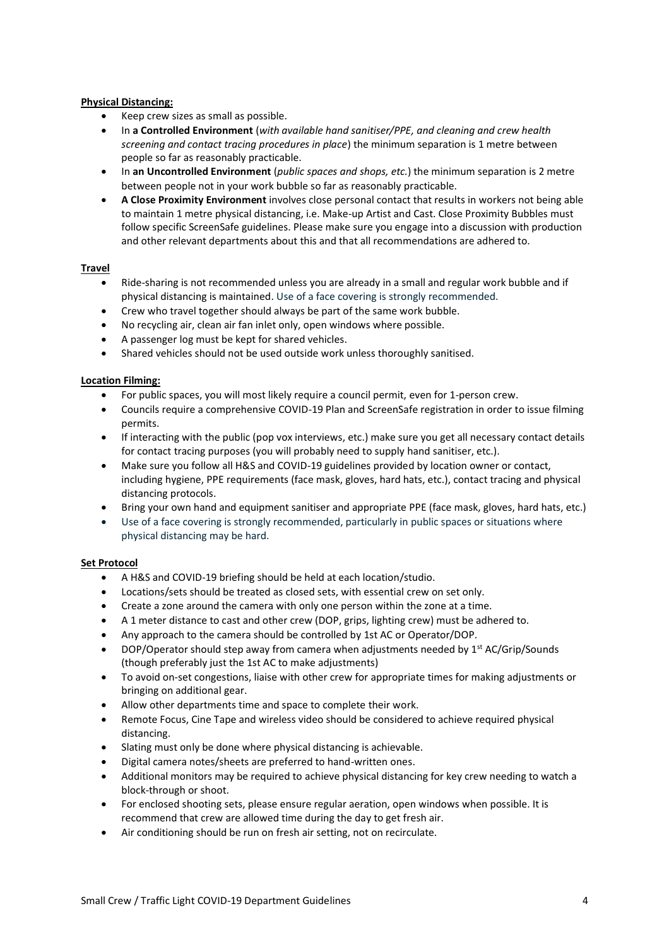# **Physical Distancing:**

- Keep crew sizes as small as possible.
- In **a Controlled Environment** (*with available hand sanitiser/PPE, and cleaning and crew health screening and contact tracing procedures in place*) the minimum separation is 1 metre between people so far as reasonably practicable.
- In **an Uncontrolled Environment** (*public spaces and shops, etc.*) the minimum separation is 2 metre between people not in your work bubble so far as reasonably practicable.
- **A Close Proximity Environment** involves close personal contact that results in workers not being able to maintain 1 metre physical distancing, i.e. Make-up Artist and Cast. Close Proximity Bubbles must follow specific ScreenSafe guidelines. Please make sure you engage into a discussion with production and other relevant departments about this and that all recommendations are adhered to.

# **Travel**

- Ride-sharing is not recommended unless you are already in a small and regular work bubble and if physical distancing is maintained. Use of a face covering is strongly recommended.
- Crew who travel together should always be part of the same work bubble.
- No recycling air, clean air fan inlet only, open windows where possible.
- A passenger log must be kept for shared vehicles.
- Shared vehicles should not be used outside work unless thoroughly sanitised.

# **Location Filming:**

- For public spaces, you will most likely require a council permit, even for 1-person crew.
- Councils require a comprehensive COVID-19 Plan and ScreenSafe registration in order to issue filming permits.
- If interacting with the public (pop vox interviews, etc.) make sure you get all necessary contact details for contact tracing purposes (you will probably need to supply hand sanitiser, etc.).
- Make sure you follow all H&S and COVID-19 guidelines provided by location owner or contact, including hygiene, PPE requirements (face mask, gloves, hard hats, etc.), contact tracing and physical distancing protocols.
- Bring your own hand and equipment sanitiser and appropriate PPE (face mask, gloves, hard hats, etc.)
- Use of a face covering is strongly recommended, particularly in public spaces or situations where physical distancing may be hard.

#### **Set Protocol**

- A H&S and COVID-19 briefing should be held at each location/studio.
- Locations/sets should be treated as closed sets, with essential crew on set only.
- Create a zone around the camera with only one person within the zone at a time.
- A 1 meter distance to cast and other crew (DOP, grips, lighting crew) must be adhered to.
- Any approach to the camera should be controlled by 1st AC or Operator/DOP.
- DOP/Operator should step away from camera when adjustments needed by  $1<sup>st</sup>$  AC/Grip/Sounds (though preferably just the 1st AC to make adjustments)
- To avoid on-set congestions, liaise with other crew for appropriate times for making adjustments or bringing on additional gear.
- Allow other departments time and space to complete their work.
- Remote Focus, Cine Tape and wireless video should be considered to achieve required physical distancing.
- Slating must only be done where physical distancing is achievable.
- Digital camera notes/sheets are preferred to hand-written ones.
- Additional monitors may be required to achieve physical distancing for key crew needing to watch a block-through or shoot.
- For enclosed shooting sets, please ensure regular aeration, open windows when possible. It is recommend that crew are allowed time during the day to get fresh air.
- Air conditioning should be run on fresh air setting, not on recirculate.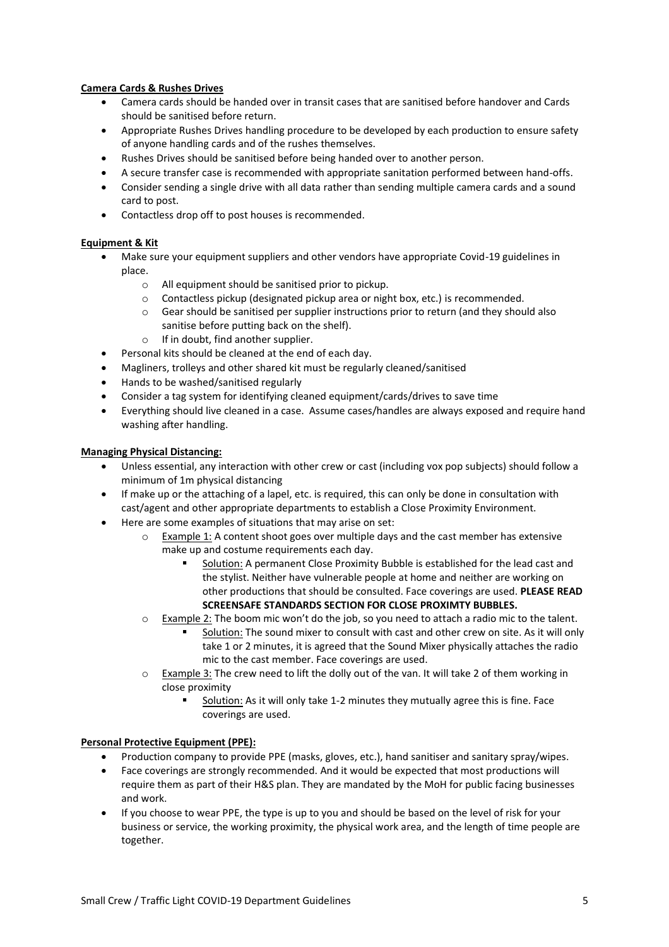# **Camera Cards & Rushes Drives**

- Camera cards should be handed over in transit cases that are sanitised before handover and Cards should be sanitised before return.
- Appropriate Rushes Drives handling procedure to be developed by each production to ensure safety of anyone handling cards and of the rushes themselves.
- Rushes Drives should be sanitised before being handed over to another person.
- A secure transfer case is recommended with appropriate sanitation performed between hand-offs.
- Consider sending a single drive with all data rather than sending multiple camera cards and a sound card to post.
- Contactless drop off to post houses is recommended.

# **Equipment & Kit**

- Make sure your equipment suppliers and other vendors have appropriate Covid-19 guidelines in place.
	- o All equipment should be sanitised prior to pickup.
	- o Contactless pickup (designated pickup area or night box, etc.) is recommended.
	- o Gear should be sanitised per supplier instructions prior to return (and they should also sanitise before putting back on the shelf).
	- o If in doubt, find another supplier.
- Personal kits should be cleaned at the end of each day.
- Magliners, trolleys and other shared kit must be regularly cleaned/sanitised
- Hands to be washed/sanitised regularly
- Consider a tag system for identifying cleaned equipment/cards/drives to save time
- Everything should live cleaned in a case. Assume cases/handles are always exposed and require hand washing after handling.

#### **Managing Physical Distancing:**

- Unless essential, any interaction with other crew or cast (including vox pop subjects) should follow a minimum of 1m physical distancing
- If make up or the attaching of a lapel, etc. is required, this can only be done in consultation with cast/agent and other appropriate departments to establish a Close Proximity Environment.
- Here are some examples of situations that may arise on set:
	- Example 1: A content shoot goes over multiple days and the cast member has extensive make up and costume requirements each day.
		- Solution: A permanent Close Proximity Bubble is established for the lead cast and the stylist. Neither have vulnerable people at home and neither are working on other productions that should be consulted. Face coverings are used. **PLEASE READ SCREENSAFE STANDARDS SECTION FOR CLOSE PROXIMTY BUBBLES.**
	- $\circ$  Example 2: The boom mic won't do the job, so you need to attach a radio mic to the talent.
		- Solution: The sound mixer to consult with cast and other crew on site. As it will only take 1 or 2 minutes, it is agreed that the Sound Mixer physically attaches the radio mic to the cast member. Face coverings are used.
	- o Example 3: The crew need to lift the dolly out of the van. It will take 2 of them working in close proximity
		- Solution: As it will only take 1-2 minutes they mutually agree this is fine. Face coverings are used.

#### **Personal Protective Equipment (PPE):**

- Production company to provide PPE (masks, gloves, etc.), hand sanitiser and sanitary spray/wipes.
- Face coverings are strongly recommended. And it would be expected that most productions will require them as part of their H&S plan. They are mandated by the MoH for public facing businesses and work.
- If you choose to wear PPE, the type is up to you and should be based on the level of risk for your business or service, the working proximity, the physical work area, and the length of time people are together.